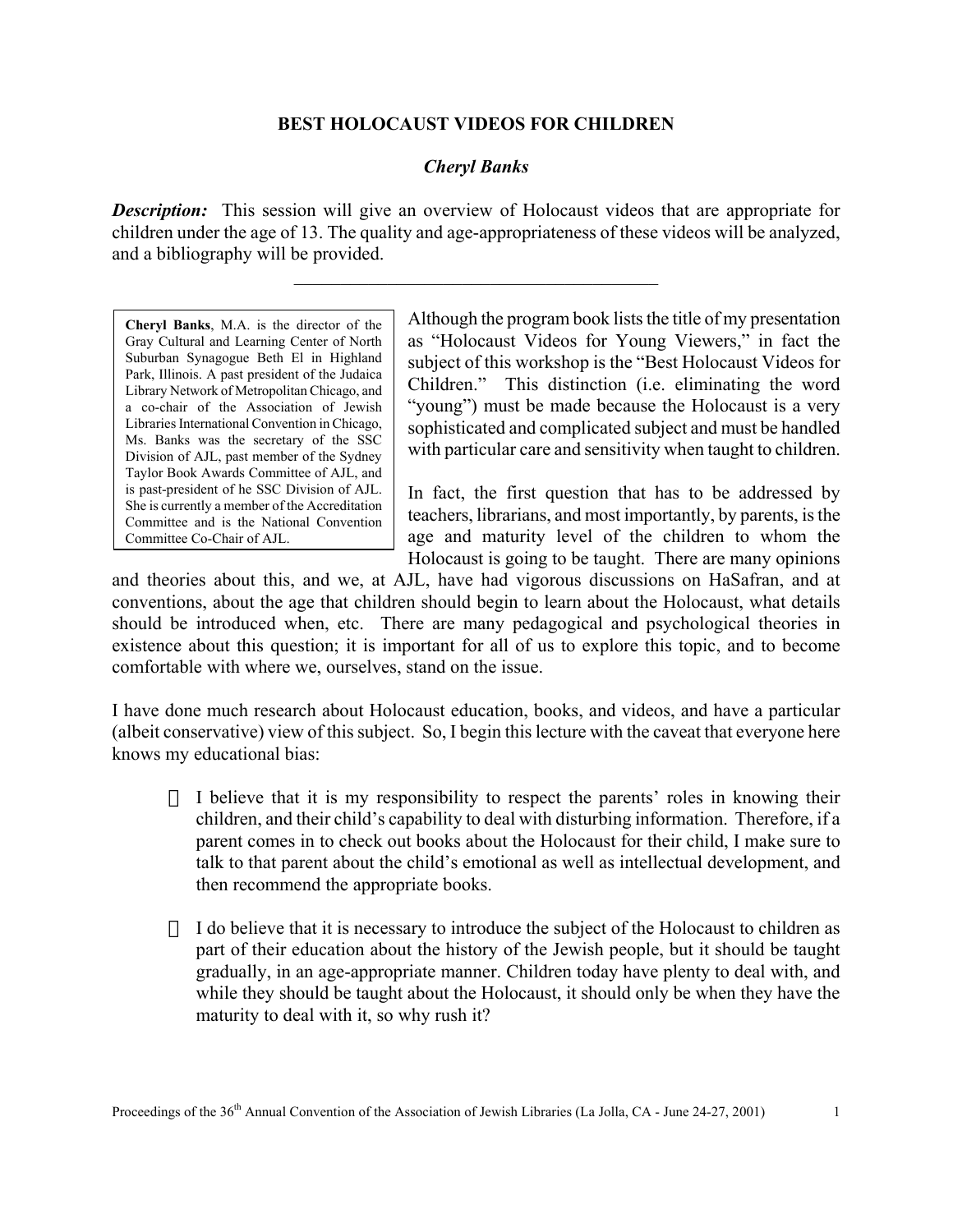## **BEST HOLOCAUST VIDEOS FOR CHILDREN**

## *Cheryl Banks*

*Description:* This session will give an overview of Holocaust videos that are appropriate for children under the age of 13. The quality and age-appropriateness of these videos will be analyzed, and a bibliography will be provided.

 $\mathcal{L}_\text{max}$  and  $\mathcal{L}_\text{max}$  and  $\mathcal{L}_\text{max}$  and  $\mathcal{L}_\text{max}$ 

**Cheryl Banks**, M.A. is the director of the Gray Cultural and Learning Center of North Suburban Synagogue Beth El in Highland Park, Illinois. A past president of the Judaica Library Network of Metropolitan Chicago, and a co-chair of the Association of Jewish Libraries International Convention in Chicago, Ms. Banks was the secretary of the SSC Division of AJL, past member of the Sydney Taylor Book Awards Committee of AJL, and is past-president of he SSC Division of AJL. She is currently a member of the Accreditation Committee and is the National Convention Committee Co-Chair of AJL.

Although the program book lists the title of my presentation as "Holocaust Videos for Young Viewers," in fact the subject of this workshop is the "Best Holocaust Videos for Children." This distinction (i.e. eliminating the word "young") must be made because the Holocaust is a very sophisticated and complicated subject and must be handled with particular care and sensitivity when taught to children.

In fact, the first question that has to be addressed by teachers, librarians, and most importantly, by parents, is the age and maturity level of the children to whom the Holocaust is going to be taught. There are many opinions

and theories about this, and we, at AJL, have had vigorous discussions on HaSafran, and at conventions, about the age that children should begin to learn about the Holocaust, what details should be introduced when, etc. There are many pedagogical and psychological theories in existence about this question; it is important for all of us to explore this topic, and to become comfortable with where we, ourselves, stand on the issue.

I have done much research about Holocaust education, books, and videos, and have a particular (albeit conservative) view of this subject. So, I begin this lecture with the caveat that everyone here knows my educational bias:

> I believe that it is my responsibility to respect the parents' roles in knowing their children, and their child's capability to deal with disturbing information. Therefore, if a parent comes in to check out books about the Holocaust for their child, I make sure to talk to that parent about the child's emotional as well as intellectual development, and then recommend the appropriate books.

> I do believe that it is necessary to introduce the subject of the Holocaust to children as part of their education about the history of the Jewish people, but it should be taught gradually, in an age-appropriate manner. Children today have plenty to deal with, and while they should be taught about the Holocaust, it should only be when they have the maturity to deal with it, so why rush it?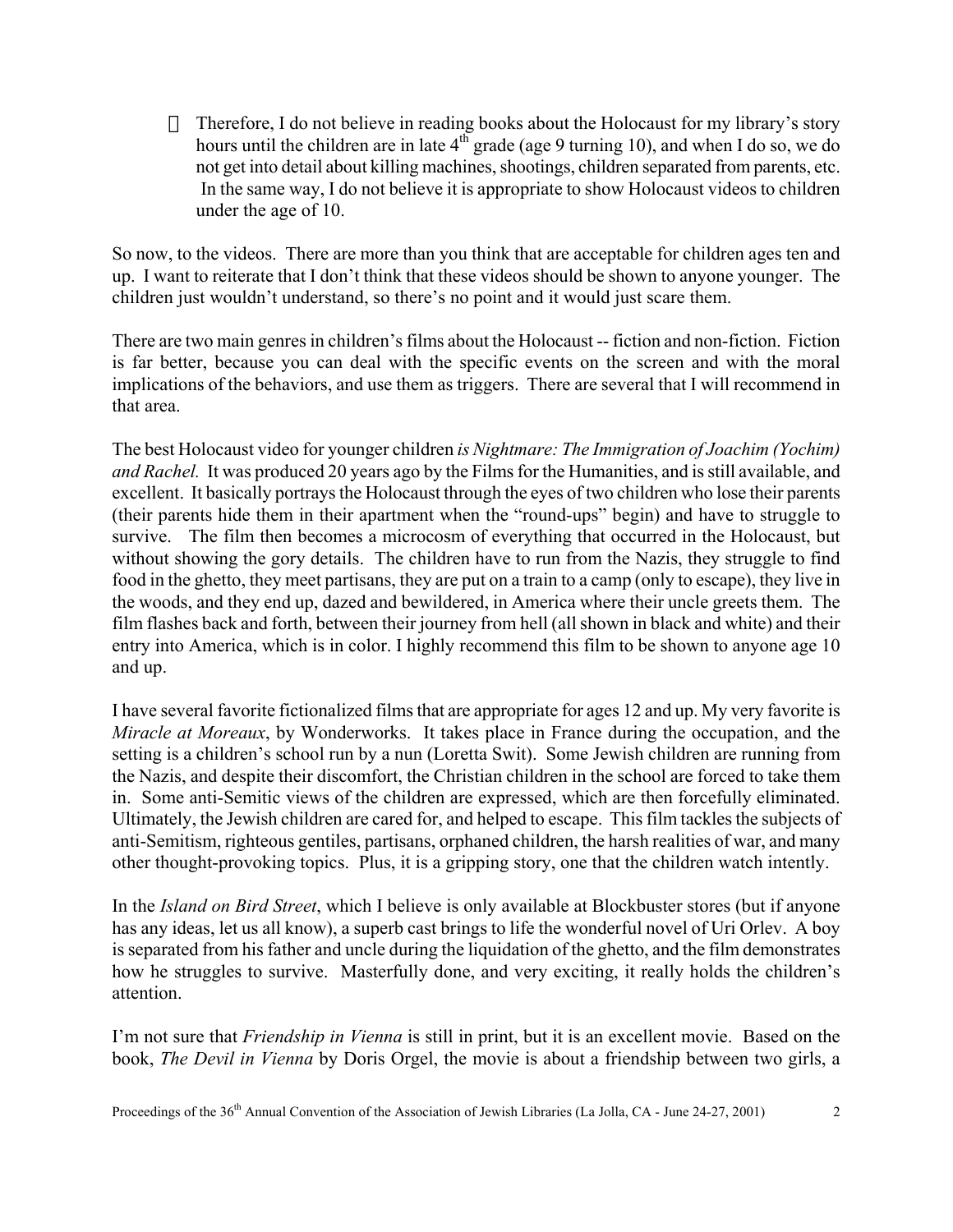Therefore, I do not believe in reading books about the Holocaust for my library's story hours until the children are in late  $4^{th}$  grade (age 9 turning 10), and when I do so, we do not get into detail about killing machines, shootings, children separated from parents, etc. In the same way, I do not believe it is appropriate to show Holocaust videos to children under the age of 10.

So now, to the videos. There are more than you think that are acceptable for children ages ten and up. I want to reiterate that I don't think that these videos should be shown to anyone younger. The children just wouldn't understand, so there's no point and it would just scare them.

There are two main genres in children's films about the Holocaust -- fiction and non-fiction. Fiction is far better, because you can deal with the specific events on the screen and with the moral implications of the behaviors, and use them as triggers. There are several that I will recommend in that area.

The best Holocaust video for younger children *is Nightmare: The Immigration of Joachim (Yochim) and Rachel.* It was produced 20 years ago by the Films for the Humanities, and is still available, and excellent. It basically portrays the Holocaust through the eyes of two children who lose their parents (their parents hide them in their apartment when the "round-ups" begin) and have to struggle to survive. The film then becomes a microcosm of everything that occurred in the Holocaust, but without showing the gory details. The children have to run from the Nazis, they struggle to find food in the ghetto, they meet partisans, they are put on a train to a camp (only to escape), they live in the woods, and they end up, dazed and bewildered, in America where their uncle greets them. The film flashes back and forth, between their journey from hell (all shown in black and white) and their entry into America, which is in color. I highly recommend this film to be shown to anyone age 10 and up.

I have several favorite fictionalized films that are appropriate for ages 12 and up. My very favorite is *Miracle at Moreaux*, by Wonderworks. It takes place in France during the occupation, and the setting is a children's school run by a nun (Loretta Swit). Some Jewish children are running from the Nazis, and despite their discomfort, the Christian children in the school are forced to take them in. Some anti-Semitic views of the children are expressed, which are then forcefully eliminated. Ultimately, the Jewish children are cared for, and helped to escape. This film tackles the subjects of anti-Semitism, righteous gentiles, partisans, orphaned children, the harsh realities of war, and many other thought-provoking topics. Plus, it is a gripping story, one that the children watch intently.

In the *Island on Bird Street*, which I believe is only available at Blockbuster stores (but if anyone has any ideas, let us all know), a superb cast brings to life the wonderful novel of Uri Orlev. A boy is separated from his father and uncle during the liquidation of the ghetto, and the film demonstrates how he struggles to survive. Masterfully done, and very exciting, it really holds the children's attention.

I'm not sure that *Friendship in Vienna* is still in print, but it is an excellent movie. Based on the book, *The Devil in Vienna* by Doris Orgel, the movie is about a friendship between two girls, a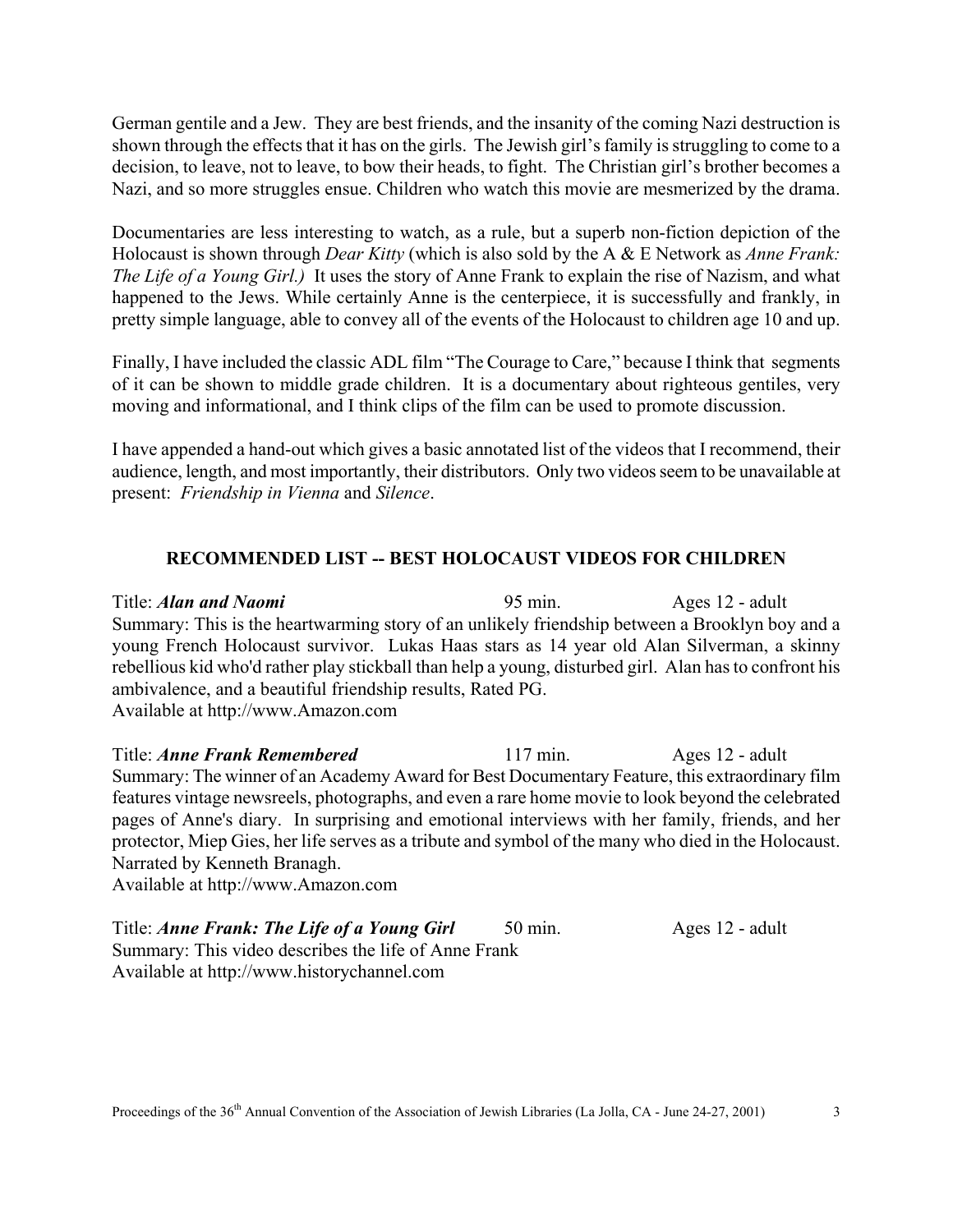German gentile and a Jew. They are best friends, and the insanity of the coming Nazi destruction is shown through the effects that it has on the girls. The Jewish girl's family is struggling to come to a decision, to leave, not to leave, to bow their heads, to fight. The Christian girl's brother becomes a Nazi, and so more struggles ensue. Children who watch this movie are mesmerized by the drama.

Documentaries are less interesting to watch, as a rule, but a superb non-fiction depiction of the Holocaust is shown through *Dear Kitty* (which is also sold by the A & E Network as *Anne Frank: The Life of a Young Girl.)* It uses the story of Anne Frank to explain the rise of Nazism, and what happened to the Jews. While certainly Anne is the centerpiece, it is successfully and frankly, in pretty simple language, able to convey all of the events of the Holocaust to children age 10 and up.

Finally, I have included the classic ADL film "The Courage to Care," because I think that segments of it can be shown to middle grade children. It is a documentary about righteous gentiles, very moving and informational, and I think clips of the film can be used to promote discussion.

I have appended a hand-out which gives a basic annotated list of the videos that I recommend, their audience, length, and most importantly, their distributors. Only two videos seem to be unavailable at present: *Friendship in Vienna* and *Silence*.

## **RECOMMENDED LIST -- BEST HOLOCAUST VIDEOS FOR CHILDREN**

Title: *Alan and Naomi* 95 min. Ages 12 - adult Summary: This is the heartwarming story of an unlikely friendship between a Brooklyn boy and a young French Holocaust survivor. Lukas Haas stars as 14 year old Alan Silverman, a skinny rebellious kid who'd rather play stickball than help a young, disturbed girl. Alan has to confront his ambivalence, and a beautiful friendship results, Rated PG. Available at http://www.Amazon.com

Title: *Anne Frank Remembered* 117 min. Ages 12 - adult Summary: The winner of an Academy Award for Best Documentary Feature, this extraordinary film features vintage newsreels, photographs, and even a rare home movie to look beyond the celebrated pages of Anne's diary. In surprising and emotional interviews with her family, friends, and her protector, Miep Gies, her life serves as a tribute and symbol of the many who died in the Holocaust. Narrated by Kenneth Branagh.

Available at http://www.Amazon.com

Title: *Anne Frank: The Life of a Young Girl* 50 min. Ages 12 - adult Summary: This video describes the life of Anne Frank Available at http://www.historychannel.com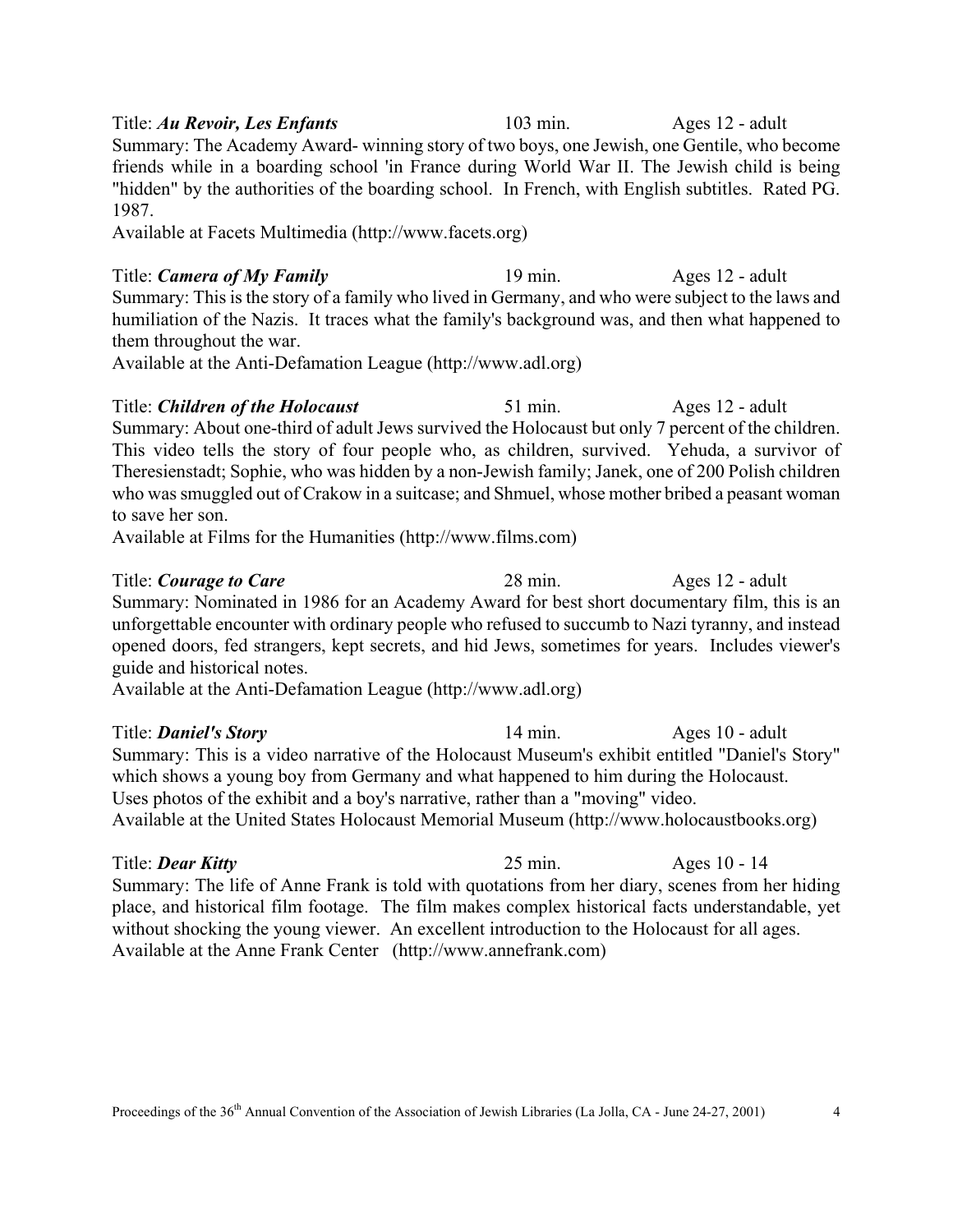Summary: The Academy Award- winning story of two boys, one Jewish, one Gentile, who become friends while in a boarding school 'in France during World War II. The Jewish child is being "hidden" by the authorities of the boarding school. In French, with English subtitles. Rated PG. 1987.

Available at Facets Multimedia (http://www.facets.org)

Title: *Camera of My Family* 19 min. Ages 12 - adult Summary: This is the story of a family who lived in Germany, and who were subject to the laws and humiliation of the Nazis. It traces what the family's background was, and then what happened to them throughout the war.

Available at the Anti-Defamation League (http://www.adl.org)

Title: *Children of the Holocaust* 51 min. Ages 12 - adult Summary: About one-third of adult Jews survived the Holocaust but only 7 percent of the children. This video tells the story of four people who, as children, survived. Yehuda, a survivor of Theresienstadt; Sophie, who was hidden by a non-Jewish family; Janek, one of 200 Polish children who was smuggled out of Crakow in a suitcase; and Shmuel, whose mother bribed a peasant woman to save her son.

Available at Films for the Humanities (http://www.films.com)

Title: *Courage to Care* 28 min. Ages 12 - adult Summary: Nominated in 1986 for an Academy Award for best short documentary film, this is an unforgettable encounter with ordinary people who refused to succumb to Nazi tyranny, and instead opened doors, fed strangers, kept secrets, and hid Jews, sometimes for years. Includes viewer's guide and historical notes.

Available at the Anti-Defamation League (http://www.adl.org)

Title: *Daniel's Story* 14 min. Ages 10 - adult Summary: This is a video narrative of the Holocaust Museum's exhibit entitled "Daniel's Story" which shows a young boy from Germany and what happened to him during the Holocaust. Uses photos of the exhibit and a boy's narrative, rather than a "moving" video. Available at the United States Holocaust Memorial Museum (http://www.holocaustbooks.org)

Title: *Dear Kitty* 25 min. Ages 10 - 14 Summary: The life of Anne Frank is told with quotations from her diary, scenes from her hiding place, and historical film footage. The film makes complex historical facts understandable, yet without shocking the young viewer. An excellent introduction to the Holocaust for all ages. Available at the Anne Frank Center (http://www.annefrank.com)

Title: *Au Revoir, Les Enfants* 103 min. Ages 12 - adult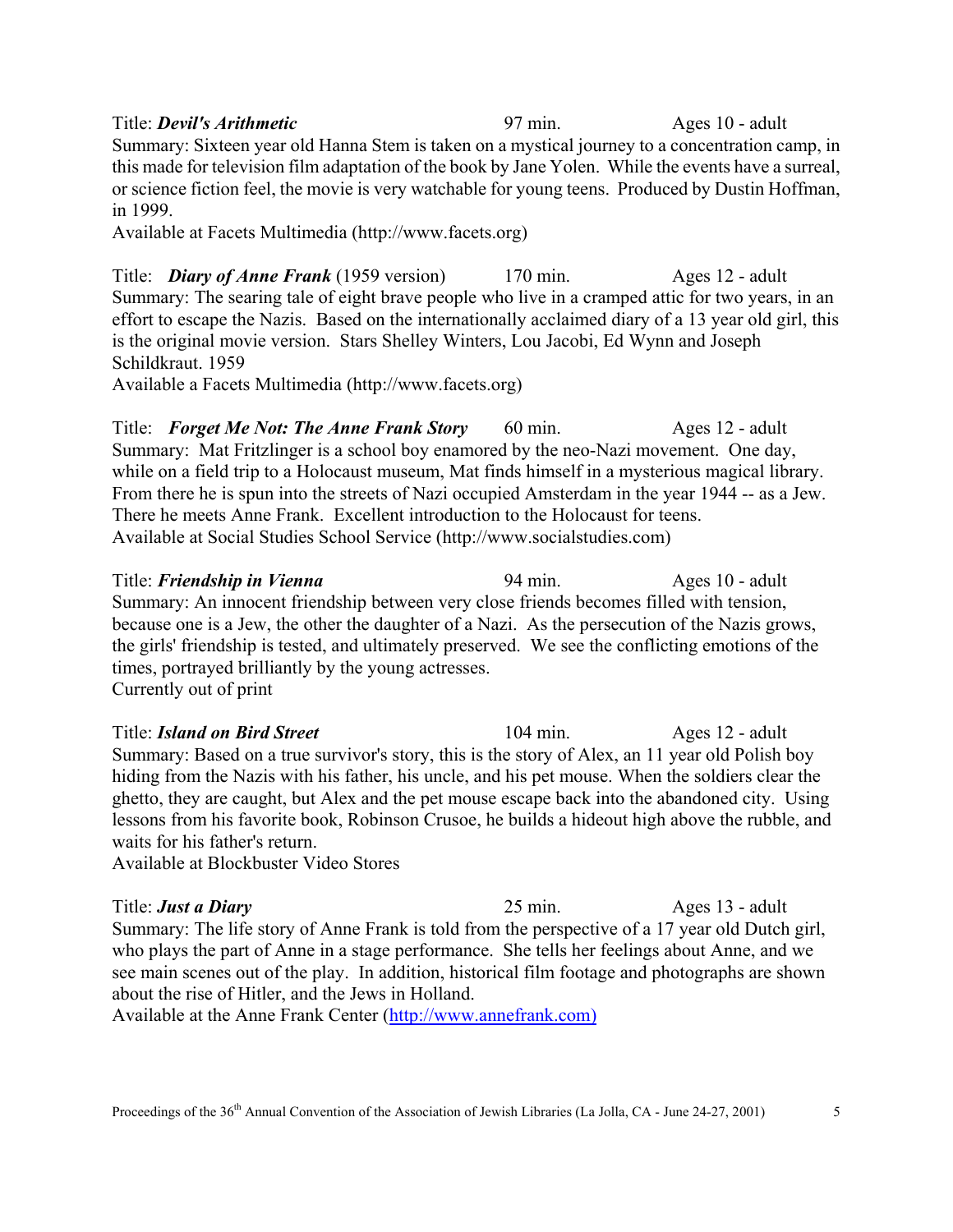Title: *Devil's Arithmetic* 97 min. Ages 10 - adult Summary: Sixteen year old Hanna Stem is taken on a mystical journey to a concentration camp, in this made for television film adaptation of the book by Jane Yolen. While the events have a surreal, or science fiction feel, the movie is very watchable for young teens. Produced by Dustin Hoffman, in 1999.

Available at Facets Multimedia (http://www.facets.org)

Title: *Diary of Anne Frank* (1959 version) 170 min. Ages 12 - adult Summary: The searing tale of eight brave people who live in a cramped attic for two years, in an effort to escape the Nazis. Based on the internationally acclaimed diary of a 13 year old girl, this is the original movie version. Stars Shelley Winters, Lou Jacobi, Ed Wynn and Joseph Schildkraut. 1959

Available a Facets Multimedia (http://www.facets.org)

Title: **Forget Me Not: The Anne Frank Story** 60 min. Ages 12 - adult Summary: Mat Fritzlinger is a school boy enamored by the neo-Nazi movement. One day, while on a field trip to a Holocaust museum, Mat finds himself in a mysterious magical library. From there he is spun into the streets of Nazi occupied Amsterdam in the year 1944 -- as a Jew. There he meets Anne Frank. Excellent introduction to the Holocaust for teens. Available at Social Studies School Service (http://www.socialstudies.com)

Title: *Friendship in Vienna* 94 min. Ages 10 - adult Summary: An innocent friendship between very close friends becomes filled with tension, because one is a Jew, the other the daughter of a Nazi. As the persecution of the Nazis grows, the girls' friendship is tested, and ultimately preserved. We see the conflicting emotions of the times, portrayed brilliantly by the young actresses. Currently out of print

Title: *Island on Bird Street* 104 min. Ages 12 - adult Summary: Based on a true survivor's story, this is the story of Alex, an 11 year old Polish boy hiding from the Nazis with his father, his uncle, and his pet mouse. When the soldiers clear the ghetto, they are caught, but Alex and the pet mouse escape back into the abandoned city. Using lessons from his favorite book, Robinson Crusoe, he builds a hideout high above the rubble, and waits for his father's return.

Available at Blockbuster Video Stores

Title: *Just a Diary* 25 min. Ages 13 - adult Summary: The life story of Anne Frank is told from the perspective of a 17 year old Dutch girl, who plays the part of Anne in a stage performance. She tells her feelings about Anne, and we see main scenes out of the play. In addition, historical film footage and photographs are shown about the rise of Hitler, and the Jews in Holland.

Available at the Anne Frank Center (http://www.annefrank.com)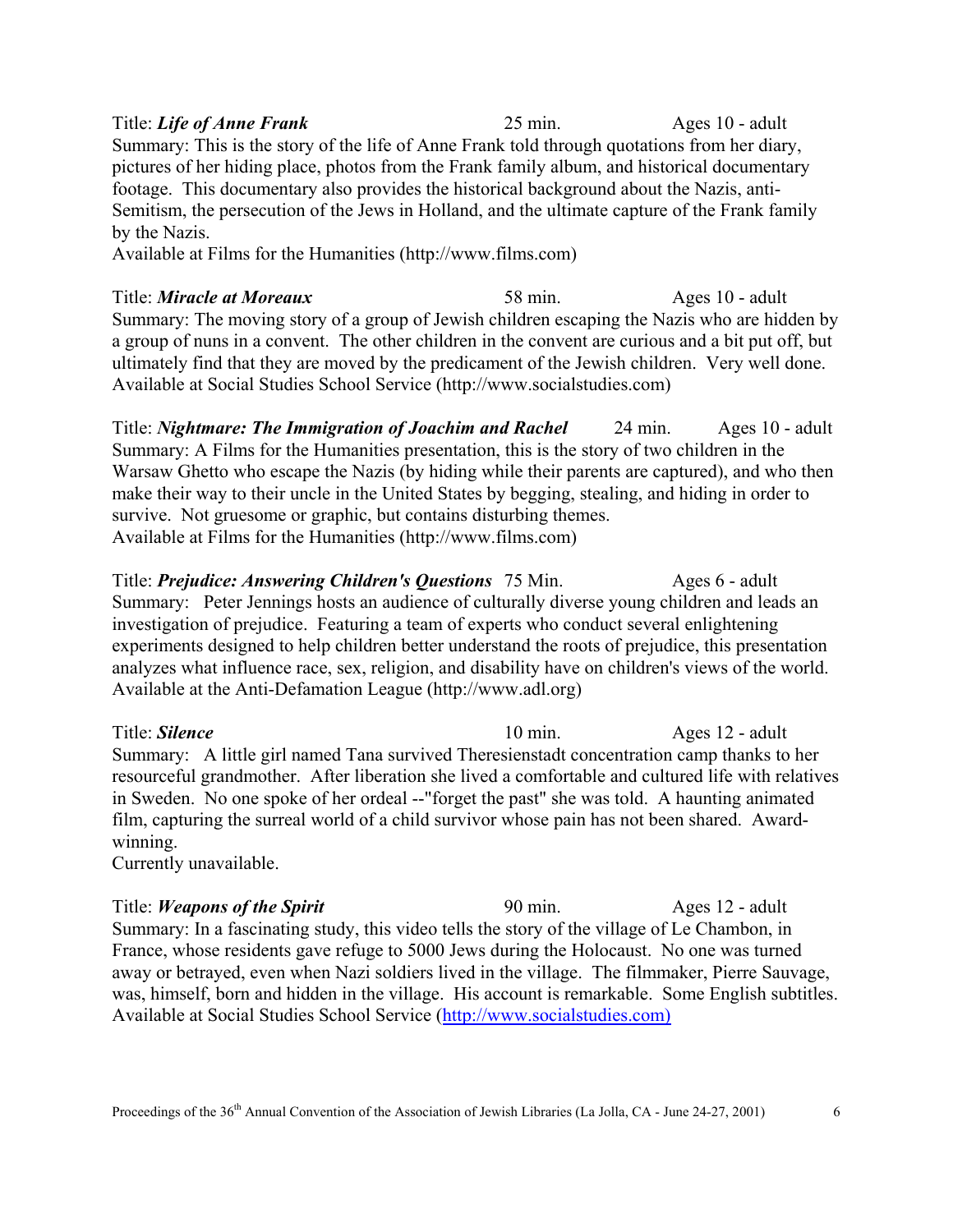Title: *Life of Anne Frank* 25 min. Ages 10 - adult Summary: This is the story of the life of Anne Frank told through quotations from her diary, pictures of her hiding place, photos from the Frank family album, and historical documentary footage. This documentary also provides the historical background about the Nazis, anti-Semitism, the persecution of the Jews in Holland, and the ultimate capture of the Frank family by the Nazis.

Available at Films for the Humanities (http://www.films.com)

Title: *Miracle at Moreaux* 58 min. Ages 10 - adult Summary: The moving story of a group of Jewish children escaping the Nazis who are hidden by a group of nuns in a convent. The other children in the convent are curious and a bit put off, but ultimately find that they are moved by the predicament of the Jewish children. Very well done. Available at Social Studies School Service (http://www.socialstudies.com)

Title: *Nightmare: The Immigration of Joachim and Rachel* 24 min. Ages 10 - adult Summary: A Films for the Humanities presentation, this is the story of two children in the Warsaw Ghetto who escape the Nazis (by hiding while their parents are captured), and who then make their way to their uncle in the United States by begging, stealing, and hiding in order to survive. Not gruesome or graphic, but contains disturbing themes. Available at Films for the Humanities (http://www.films.com)

Title: *Prejudice: Answering Children's Questions* 75 Min. Ages 6 - adult Summary: Peter Jennings hosts an audience of culturally diverse young children and leads an investigation of prejudice. Featuring a team of experts who conduct several enlightening experiments designed to help children better understand the roots of prejudice, this presentation analyzes what influence race, sex, religion, and disability have on children's views of the world. Available at the Anti-Defamation League (http://www.adl.org)

Title: **Silence** 10 min. Ages 12 - adult Summary: A little girl named Tana survived Theresienstadt concentration camp thanks to her resourceful grandmother. After liberation she lived a comfortable and cultured life with relatives in Sweden. No one spoke of her ordeal --"forget the past" she was told. A haunting animated film, capturing the surreal world of a child survivor whose pain has not been shared. Awardwinning.

Currently unavailable.

Title: *Weapons of the Spirit* 90 min. Ages 12 - adult Summary: In a fascinating study, this video tells the story of the village of Le Chambon, in France, whose residents gave refuge to 5000 Jews during the Holocaust. No one was turned away or betrayed, even when Nazi soldiers lived in the village. The filmmaker, Pierre Sauvage, was, himself, born and hidden in the village. His account is remarkable. Some English subtitles. Available at Social Studies School Service (http://www.socialstudies.com)